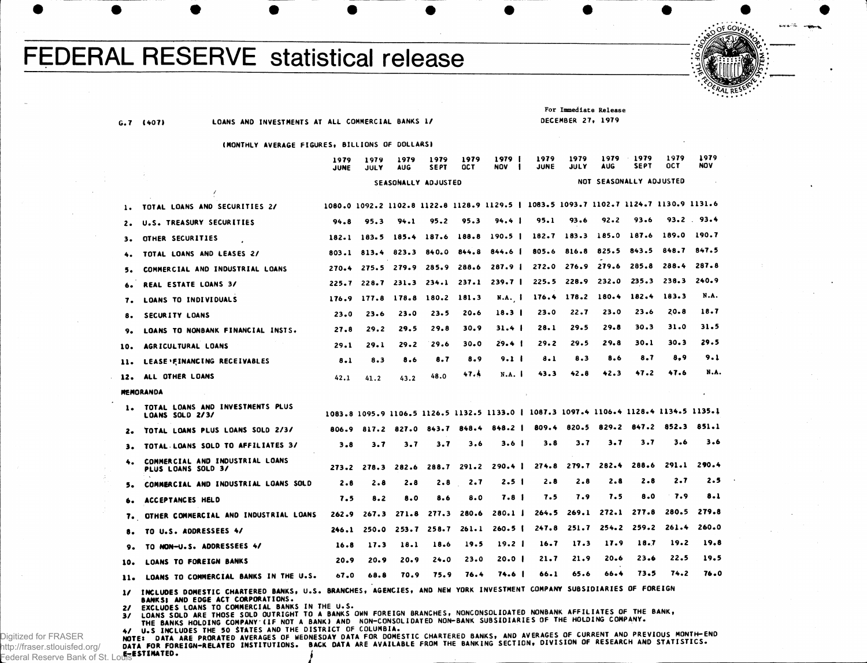## **FEDERAL RESERVE statistical release**



**G .7 (4071 LOANS A ND INVESTMENTS AT ALL COMMERCIAL BANKS 1/**

**For Immediate Release DECEMBER 27, 1979**

## **(MONTHLY AVERAGE FIGURES, BILLIONS OF DOLLARS 1**

|     |                                                       | 1979<br>JUNE | 1979<br>JULY | 1979<br>AUG             | 1979<br><b>SEPT</b> | 1979<br><b>OCT</b> | 1979<br>NOV                                                                           | 1979<br>JUNE | 1979<br>JULY            | 1979<br><b>AUG</b> | 1979<br><b>SEPT</b> | 1979<br><b>OCT</b> | 1979<br><b>NOV</b> |  |  |
|-----|-------------------------------------------------------|--------------|--------------|-------------------------|---------------------|--------------------|---------------------------------------------------------------------------------------|--------------|-------------------------|--------------------|---------------------|--------------------|--------------------|--|--|
|     | SEASONALLY ADJUSTED                                   |              |              |                         |                     |                    |                                                                                       |              | NOT SEASONALLY ADJUSTED |                    |                     |                    |                    |  |  |
|     | ł                                                     |              |              |                         |                     |                    |                                                                                       |              |                         |                    |                     |                    |                    |  |  |
| 1.  | TOTAL LOANS AND SECURITIES 2/                         |              |              |                         |                     |                    | 1080.0 1092.2 1102.8 1122.8 1128.9 1129.5   1083.5 1093.7 1102.7 1124.7 1130.9 1131.6 |              |                         |                    |                     |                    |                    |  |  |
|     | U.S. TREASURY SECURITIES                              | 94.8         | 95.3         | 94.1                    | 95.2                | 95.3               | 94.4 I                                                                                | 95.1         | 93.6                    | 92.2               | 93.6                |                    | $93.2$ $93.4$      |  |  |
| з.  | OTHER SECURITIES                                      | 182.1        | 183.5        | 185.4                   | 187.6               | 188.8              | 190.5 <sub>1</sub>                                                                    |              | $182.7$ 183.3           | 185.0              | 187.6               | 189.0              | 190.7              |  |  |
|     | TOTAL LOANS AND LEASES 2/                             |              |              | 803.1 813.4 823.3 840.0 |                     | 844.8              | 844.6 1                                                                               |              | 805.6 816.8             | 825.5              | 843.5               | 848.7              | 847.5              |  |  |
|     | COMMERCIAL AND INDUSTRIAL LOANS                       | 270.4        |              | 275.5 279.9             | 285.9               | 288.6              | 287.9 <sub>1</sub>                                                                    |              | 272.0 276.9             | 279.6              | 285.8               | 288.4              | 287.8              |  |  |
|     | <b>REAL ESTATE LOANS 3/</b>                           | 225.7        |              | $228.7$ $231.3$ $234.1$ |                     | 237.1              | 239.7 <sub>1</sub>                                                                    |              | 225.5 228.9             | 232.0              | 235.3               | 238.3              | 240.9              |  |  |
| 7.  | LOANS TO INDIVIDUALS                                  | 176.9        |              | 177.8 178.8 180.2       |                     | 181.3              | N.A. 1                                                                                |              |                         | 176.4 178.2 180.4  | 182.4               | 183.3              | N.A.               |  |  |
| 8.  | SECURITY LOANS                                        | 23.0         | 23.6         | 23.0                    | 23.5                | 20.6               | 18.3 <sub>1</sub>                                                                     | 23.0         | 22.7                    | 23.0               | 23.6                | 20.8               | 18.7               |  |  |
|     | LOANS TO NONBANK FINANCIAL INSTS.                     | 27.8         | 29.2         | 29.5                    | 29.8                | 30.9               | 31.4 <sub>1</sub>                                                                     | 28.1         | 29.5                    | 29.8               | 30.3                | 31.0               | 31.5               |  |  |
| 10. | AGRICULTURAL LOANS                                    | 29.1         | 29.1         | 29.2                    | 29.6                | 30.0               | $29.4$ 1                                                                              | 29.2         | 29.5                    | 29.8               | 30.1                | 30.3               | 29.5               |  |  |
| 11. | LEASE FINANCING RECEIVABLES                           | 8.1          | 8.3          | 8.6                     | 8.7                 | 8.9                | 9.1 <sub>1</sub>                                                                      | 8.1          | 8.3                     | 8.6                | 8.7                 | 8.9                | 9.1                |  |  |
| 12. | ALL OTHER LOANS                                       | 42.1         | 41.2         | 43.2                    | 48.0                | 47.4               | N.A.                                                                                  | 43.3         | 42.8                    | 42.3               | 47.2                | 47.6               | N.A.               |  |  |
|     | <b>MEMORANDA</b>                                      |              |              |                         |                     |                    |                                                                                       |              |                         |                    |                     |                    | $\bullet$          |  |  |
| 1.  | TOTAL LOANS AND INVESTMENTS PLUS<br>LOANS SOLD 2/3/   |              |              |                         |                     |                    | 1083.8 1095.9 1106.5 1126.5 1132.5 1133.0   1087.3 1097.4 1106.4 1128.4 1134.5 1135.1 |              |                         |                    |                     |                    |                    |  |  |
|     | TOTAL LOANS PLUS LOANS SOLD 2/3/                      | 806.9        | 817.2        | 827.0                   | 843.7               | 848.4              | 848.2 I                                                                               | 809.4        | 820.5                   | 829.2              | 847.2               | 852.3              | 851.1              |  |  |
| з.  | TOTAL LOANS SOLD TO AFFILIATES 3/                     | $3 - 8$      | 3.7          | 3.7                     | 3.7                 | 3.6                | 3.6 I                                                                                 | 3.8          | 3.7                     | 3.7                | 3.7                 | 3.6                | 3.6                |  |  |
|     | COMMERCIAL AND INDUSTRIAL LOANS<br>PLUS LOANS SOLD 3/ | 273.2        | 278.3        | 282.6                   | 288.7               | 291.2              | 290.4                                                                                 | 274.8        | 279.7                   | 282.4              | 288.6               | 291.1              | 290.4              |  |  |
|     | COMMERCIAL AND INDUSTRIAL LOANS SOLD                  | 2.8          | 2.8          | 2.8                     | 2.8                 | 2.7                | 2.5                                                                                   | 2.8          | 2.8                     | 2.8                | 2.8                 | 2.7                | 2.5                |  |  |
|     | ACCEPTANCES HELD                                      | 7.5          | 8.2          | 8.0                     | 8.6                 | 8.0                | 7.8 I                                                                                 | 7.5          | 7.9                     | 7.5                | 8.0                 | 7.9                | 8.1                |  |  |
| 7.  | OTHER COMMERCIAL AND INDUSTRIAL LOANS                 | 262.9        | 267.3        | 271.8                   | 277.3               | 280.6              | 280.11                                                                                | 264.5        | 269.1                   | 272.1              | 277.8               | 280.5              | 279.8              |  |  |
|     | TO U.S. ADDRESSEES 4/                                 | 246.1        | 250.0        | 253.7                   | 258.7               | 261.1              | 260.51                                                                                | 247.8        | 251.7                   | 254.2              | 259.2               | 261.4              | 260.0              |  |  |
| 9.  | TO NON-U.S. ADDRESSEES 4/                             | 16.8         | 17.3         | 18.1                    | 18.6                | 19.5               | 19.2 <sub>1</sub>                                                                     | 16.7         | 17.3                    | 17.9               | 18.7                | 19.2               | 19.8               |  |  |
| 10. | LOANS TO FOREIGN BANKS                                | 20.9         | 20.9         | 20.9                    | 24.0                | 23.0               | $20.0$                                                                                | 21.7         | 21.9                    | 20.6               | 23.6                | 22.5               | 19.5               |  |  |
| 11. | LOANS TO COMMERCIAL BANKS IN THE U.S.                 | 67.0         | 68.8         | 70.9                    | 75.9                | 76.4               | 74.6 I                                                                                | 66.1         | 65.6                    | 66.4               | 73.5                | 74.2               | 76.0               |  |  |

1/ INCLUDES DOMESTIC CHARTERED BANKS, U.S. BRANCHES, AGENCIES, AND NEW YORK INVESTMENT COMPANY SUBSIDIARIES OF FOREIGN **BANKS; AND EDGE ACT CORPORATIONS.**<br>EXCLUDES LOANS TO COMMERCIAL BANKS IN THE U.S.

 $\mathbf{z}$ 

EXCLUDES LOANS TO COMMERCIAL BANKS IN THE U.S.<br>LOANS SOLD ARE THOSE SOLD OUTRIGHT TO A BANKS OWN FOREIGN BRANCHES, NONCONSOLIDATED NONBANK AFFILIATES OF THE BANK,<br>THE BANKS HOLDING COMPANY (IF NOT A BANK) AND NON-CONSOLIDA  $3/$ 

THE BANKS HOLDING COMPANY (IF NOT A BANK) AND NUM-UNSULIDATED NUM-BANK SUBSIDIANTES OF THE INEDITING COMPANY.<br>NOTE: DATA ARE PRORATED AVERAGES OF WEDNESDAY DATA FOR DOMESTIC CHARTERED BANKS, AND AVERAGES OF CURRENT AND PRE **e-eSTIWATEO . j**

Digitized for FRASER http://fraser.stlouisfed.org/ Federal Reserve Bank of St.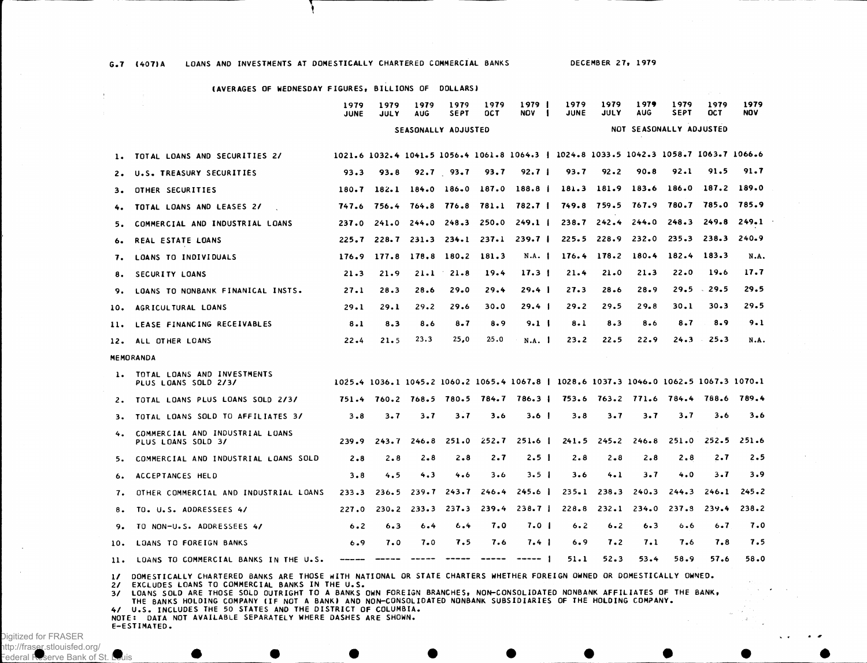G.7 (407)A LOANS AND INVESTMENTS AT DOMESTICALLY CHARTERED COMMERCIAL BANKS DECEMBER 27, 1979

**T** 

## **(AVERAGE S OF WEDNESDA Y FIGURES , BILLION S OF DOLLARS )**

| 1979<br><b>JUNE</b> | 1979<br><b>JULY</b> | 1979<br><b>AUG</b>  | 1979 1979<br>SEPT | OCT | 1979 1<br><b>NOV</b> | JUNE | 1979 1979 1979<br><b>JULY</b> | <b>AUG</b> | 1979<br><b>SEPT</b>     | 1979<br><b>OCT</b> | 1979<br><b>NOV</b> |
|---------------------|---------------------|---------------------|-------------------|-----|----------------------|------|-------------------------------|------------|-------------------------|--------------------|--------------------|
|                     |                     | SEASONALLY ADJUSTED |                   |     |                      |      |                               |            | NOT SEASONALLY ADJUSTED |                    |                    |

|     | TOTAL LOANS AND SECURITIES 2/                         |         |         |                         |               |      |                                         | 1021.6 1032.4 1041.5 1056.4 1061.8 1064.3   1024.8 1033.5 1042.3 1058.7 1063.7 1066.6 |          |                                         |       |                        |       |
|-----|-------------------------------------------------------|---------|---------|-------------------------|---------------|------|-----------------------------------------|---------------------------------------------------------------------------------------|----------|-----------------------------------------|-------|------------------------|-------|
| 2.  | U.S. TREASURY SECURITIES                              | 93.3    | 93.8    |                         | $92.7$ $93.7$ | 93.7 | 92.7 <sub>1</sub>                       | 93.7                                                                                  | 92.2     | 90.8                                    | 92.1  | 91.5                   | 91.7  |
| 3.  | OTHER SECURITIES                                      | 180.7   | 182.1   |                         |               |      |                                         | 184.0 186.0 187.0 188.8   181.3 181.9 183.6 186.0 187.2 189.0                         |          |                                         |       |                        |       |
|     | 4. TOTAL LOANS AND LEASES 2/                          |         |         |                         |               |      |                                         | 747.6 756.4 764.8 776.8 781.1 782.7   749.8 759.5 767.9 780.7 785.0 785.9             |          |                                         |       |                        |       |
| 5.  | COMMERCIAL AND INDUSTRIAL LOANS                       |         |         |                         |               |      | 237.0 241.0 244.0 248.3 250.0 249.1     |                                                                                       |          | 238.7 242.4 244.0 248.3 249.8 249.1     |       |                        |       |
| 6.  | REAL ESTATE LOANS                                     |         |         |                         |               |      |                                         | 225.7 228.7 231.3 234.1 237.1 239.7   225.5 228.9 232.0 235.3 238.3                   |          |                                         |       |                        | 240.9 |
| 7.  | LOANS TO INDIVIDUALS                                  | 176.9   |         | 177.8 178.8 180.2 181.3 |               |      | N.A. 1                                  |                                                                                       |          | 176.4 178.2 180.4 182.4 183.3           |       |                        | N.A.  |
|     | 8. SECURITY LOANS                                     | 21.3    | 21.9    | 21.1                    | $21 - 8$      | 19.4 | 17.3 <sub>1</sub>                       | 21.4                                                                                  | 21.0     | 21.3                                    | 22.0  | 19.6                   | 17.7  |
| 9.  | LOANS TO NONBANK FINANICAL INSTS.                     | 27.1    | 28.3    | 28.6                    | 29.0          | 29.4 | $29.4 \text{ }$                         | 27.3                                                                                  | $28 - 6$ | 28.9                                    |       | $29.5$ 29.5            | 29.5  |
| 10. | AGRICULTURAL LOANS                                    | 29.1    | 29.1    | 29.2                    | 29.6          | 30.0 | $29.4 \text{ }$                         | 29.2                                                                                  | 29.5     | 29.8                                    | 30.1  | 30.3                   | 29.5  |
| 11. | LEASE FINANCING RECEIVABLES                           | 8.1     | 8.3     | 8.6                     | $8 - 7$       | 8.9  | 9.1 <sub>1</sub>                        | $8 - 1$                                                                               | 8.3      | 8.6                                     | 8.7   | 8.9                    | 9.1   |
|     | 12. ALL OTHER LOANS                                   | 22.4    | 21.5    | 23.3                    | 25,0          | 25.0 | N.A.                                    | 23.2                                                                                  | 22.5     | 22.9                                    | 24.3  | 25.3<br>$\sim 10^{-1}$ | N.A.  |
|     | <b>MEMORANDA</b>                                      |         |         |                         |               |      |                                         |                                                                                       |          |                                         |       |                        |       |
| 1.  | TOTAL LOANS AND INVESTMENTS<br>PLUS LOANS SOLD 2/3/   |         |         |                         |               |      |                                         | 1025.4 1036.1 1045.2 1060.2 1065.4 1067.8   1028.6 1037.3 1046.0 1062.5 1067.3 1070.1 |          |                                         |       |                        |       |
|     | 2. TOTAL LOANS PLUS LOANS SOLD 2/3/                   |         |         |                         |               |      |                                         | 751.4 760.2 768.5 780.5 784.7 786.3   753.6 763.2 771.6 784.4 788.6 789.4             |          |                                         |       |                        |       |
|     | 3. TOTAL LOANS SOLD TO AFFILIATES 3/                  | $3 - 8$ | $3 - 7$ | 3.7                     | 3.7           | 3.6  | 3.6 <sub>1</sub>                        | 3.8                                                                                   | 3.7      | 3.7                                     | 3.7   | 3.6                    | 3.6   |
| 4.  | COMMERCIAL AND INDUSTRIAL LOANS<br>PLUS LOANS SOLD 3/ | 239.9   | 243.7   | 246.8                   |               |      | $251.0$ $252.7$ $251.6$                 |                                                                                       |          | $241.5$ $245.2$ $246.8$ $251.0$ $252.5$ |       |                        | 251.6 |
| 5.  | COMMERCIAL AND INDUSTRIAL LOANS SOLD                  | $2 - 8$ | 2.8     | $2 - 8$                 | $2 - 8$       | 2.7  | 2.5 <sub>1</sub>                        | 2.8                                                                                   | $2 - 8$  | 2.8                                     | 2.8   | 2.7                    | 2.5   |
| 6.  | ACCEPTANCES HELD                                      | 3.8     | 4.5     | 4.3                     | 4.6           | 3.6  | 3.5 <sub>1</sub>                        | 3.6                                                                                   | $4 - 1$  | 3.7                                     | 4.0   | $3 - 7$                | 3.9   |
|     | 7. OTHER COMMERCIAL AND INDUSTRIAL LOANS              | 233.3   |         |                         |               |      | $236.5$ $239.7$ $243.7$ $246.4$ $245.6$ |                                                                                       |          | $235 - 1$ $238 - 3$ $240 - 3$           | 244.3 | 246.1                  | 245.2 |
|     | 8. TO. U.S. ADDRESSEES 4/                             |         |         |                         |               |      |                                         | 227.0 230.2 233.3 237.3 239.4 238.7   228.8 232.1 234.0 237.8 239.4                   |          |                                         |       |                        | 238.2 |

**10. LOAN S TO FOREIG N BANKS 6 .9 7 . 0 7.0 7 .5 7 .6 7.4 6 . 9 7 .2 7.1 7 .6 7 .8 7 .5 lie LOAN S TO COMMERCIA L BANKS IN THE U.S . 51.1 52.3 53.4 58.9 57.6 58.0** 

**9. TO NON-U.S . ADDRESSEE S 4/ 6 . 2 6 . 3 6 . 4 6 . 4 7 . 0 7.0 6 . 2 6 . 2 6 .3 6 .6 6 .7 7 . 0** 

1/ DOMESTICALLY CHARTERED BANKS ARE THOSE WITH NATIONAL OR STATE CHARTERS WHETHER FOREIGN OWNED OR DOMESTICALLY OWNED.

**2/ EXCLUDE S LOAN S TO COMMERCIA L BANK S IN T HE U.S .**

3/ LOANS SOLD ARE THOSE SOLD OUTRIGHT TO A BANKS OWN FOREIGN BRANCHES, NON-CONSOLIDATED NONBANK AFFILIATES OF THE BANK,<br>THE BANKS HOLDING COMPANY (IF NOT A BANK) AND NON-CONSOLIDATED NONBANK SUBSIDIARIES OF THE HOLDING COM

**4 / U.S . INCLUDE S THE 50 STATES A ND T H E DISTRIC T OF COLUMBIA .**

**NOTE : DATA N OT AVAILABL E SEPARATEL Y WHER E DASHE S A R E SHOWN . E-ESTIMATED .**